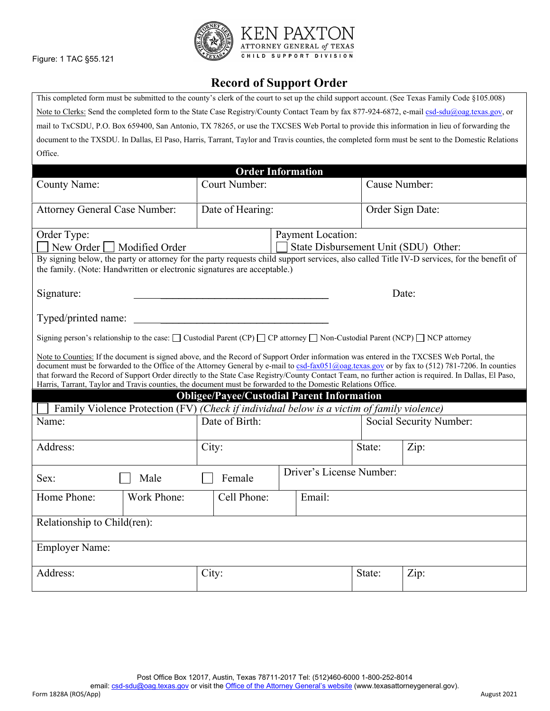## **Record of Support Order**

This completed form must be submitted to the county's clerk of the court to set up the child support account. (See Texas Family Code §105.008) Note to Clerks: Send the completed form to the State Case Registry/County Contact Team by fax 877-924-6872, e-mail [csd-sdu@oag.texas.gov,](mailto:csd-sdu@oag.texas.gov) or mail to TxCSDU, P.O. Box 659400, San Antonio, TX 78265, or use the TXCSES Web Portal to provide this information in lieu of forwarding the document to the TXSDU. In Dallas, El Paso, Harris, Tarrant, Taylor and Travis counties, the completed form must be sent to the Domestic Relations Office.

| <b>Order Information</b>                                                                                                                                                                                                                                                                                                                                                                                                                                                                                                                                             |                                                   |        |                                      |       |  |  |  |
|----------------------------------------------------------------------------------------------------------------------------------------------------------------------------------------------------------------------------------------------------------------------------------------------------------------------------------------------------------------------------------------------------------------------------------------------------------------------------------------------------------------------------------------------------------------------|---------------------------------------------------|--------|--------------------------------------|-------|--|--|--|
| <b>County Name:</b>                                                                                                                                                                                                                                                                                                                                                                                                                                                                                                                                                  | <b>Court Number:</b>                              |        | Cause Number:                        |       |  |  |  |
| <b>Attorney General Case Number:</b>                                                                                                                                                                                                                                                                                                                                                                                                                                                                                                                                 | Date of Hearing:                                  |        | Order Sign Date:                     |       |  |  |  |
| Order Type:<br>Payment Location:<br>Modified Order<br>New Order                                                                                                                                                                                                                                                                                                                                                                                                                                                                                                      |                                                   |        | State Disbursement Unit (SDU) Other: |       |  |  |  |
| By signing below, the party or attorney for the party requests child support services, also called Title IV-D services, for the benefit of<br>the family. (Note: Handwritten or electronic signatures are acceptable.)                                                                                                                                                                                                                                                                                                                                               |                                                   |        |                                      |       |  |  |  |
| Signature:                                                                                                                                                                                                                                                                                                                                                                                                                                                                                                                                                           |                                                   |        |                                      | Date: |  |  |  |
| Typed/printed name:                                                                                                                                                                                                                                                                                                                                                                                                                                                                                                                                                  |                                                   |        |                                      |       |  |  |  |
| Signing person's relationship to the case: $\Box$ Custodial Parent (CP) $\Box$ CP attorney $\Box$ Non-Custodial Parent (NCP) $\Box$ NCP attorney                                                                                                                                                                                                                                                                                                                                                                                                                     |                                                   |        |                                      |       |  |  |  |
| Note to Counties: If the document is signed above, and the Record of Support Order information was entered in the TXCSES Web Portal, the<br>document must be forwarded to the Office of the Attorney General by e-mail to csd-fax051@oag.texas.gov or by fax to (512) 781-7206. In counties<br>that forward the Record of Support Order directly to the State Case Registry/County Contact Team, no further action is required. In Dallas, El Paso,<br>Harris, Tarrant, Taylor and Travis counties, the document must be forwarded to the Domestic Relations Office. |                                                   |        |                                      |       |  |  |  |
|                                                                                                                                                                                                                                                                                                                                                                                                                                                                                                                                                                      | <b>Obligee/Payee/Custodial Parent Information</b> |        |                                      |       |  |  |  |
| Family Violence Protection (FV) (Check if individual below is a victim of family violence)                                                                                                                                                                                                                                                                                                                                                                                                                                                                           |                                                   |        |                                      |       |  |  |  |
| Name:                                                                                                                                                                                                                                                                                                                                                                                                                                                                                                                                                                | Date of Birth:                                    |        | Social Security Number:              |       |  |  |  |
| Address:                                                                                                                                                                                                                                                                                                                                                                                                                                                                                                                                                             | City:                                             |        | State:                               | Zip:  |  |  |  |
| Male<br>Sex:                                                                                                                                                                                                                                                                                                                                                                                                                                                                                                                                                         | Female                                            |        | Driver's License Number:             |       |  |  |  |
| Home Phone:<br>Work Phone:                                                                                                                                                                                                                                                                                                                                                                                                                                                                                                                                           | Cell Phone:                                       | Email: |                                      |       |  |  |  |
| Relationship to Child(ren):                                                                                                                                                                                                                                                                                                                                                                                                                                                                                                                                          |                                                   |        |                                      |       |  |  |  |
| <b>Employer Name:</b>                                                                                                                                                                                                                                                                                                                                                                                                                                                                                                                                                |                                                   |        |                                      |       |  |  |  |
| Address:                                                                                                                                                                                                                                                                                                                                                                                                                                                                                                                                                             | City:                                             |        | State:                               | Zip:  |  |  |  |

email[: csd-sdu@oag.texas.gov](mailto:csd-sdu@oag.texas.gov) or visit th[e Office of the Attorney General's website](http://www.texasattorneygeneral.gov/) (www.texasattorneygeneral.gov).

Figure: 1 TAC §55.121